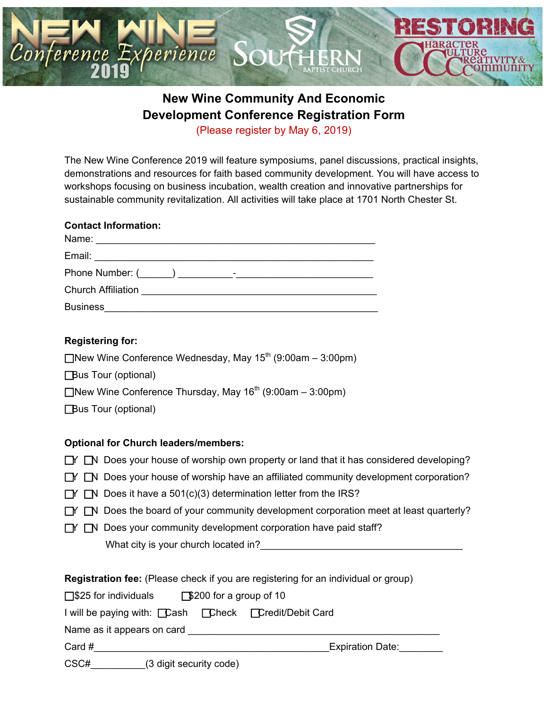

## **New Wine Community And Economic Development Conference Registration Form** (Please register by May 6, 2019)

The New Wine Conference 2019 will feature symposiums, panel discussions, practical insights, demonstrations and resources for faith based community development. You will have access to workshops focusing on business incubation, wealth creation and innovative partnerships for sustainable community revitalization. All activities will take place at 1701 North Chester St.

#### **Contact Information:**

| Name:                     |
|---------------------------|
| Email:                    |
|                           |
| <b>Church Affiliation</b> |
| <b>Business</b>           |

### **Registering for:**

New Wine Conference Wednesday, May  $15<sup>th</sup>$  (9:00am – 3:00pm) **Bus Tour (optional)** New Wine Conference Thursday, May  $16^{th}$  (9:00am – 3:00pm) **Bus Tour (optional)** 

### **Optional for Church leaders/members:**

|  |  |  | $\Box Y$ $\Box N$ Does your house of worship own property or land that it has considered developing? |  |  |  |  |
|--|--|--|------------------------------------------------------------------------------------------------------|--|--|--|--|
|--|--|--|------------------------------------------------------------------------------------------------------|--|--|--|--|

- $\Box Y$   $\Box N$  Does your house of worship have an affiliated community development corporation?
- $\Box Y$   $\Box N$  Does it have a 501(c)(3) determination letter from the IRS?
- $\Box Y$   $\Box N$  Does the board of your community development corporation meet at least quarterly?
- $\Box Y$   $\Box N$  Does your community development corporation have paid staff? What city is your church located in?

| <b>Registration fee:</b> (Please check if you are registering for an individual or group) |                         |  |  |  |  |  |
|-------------------------------------------------------------------------------------------|-------------------------|--|--|--|--|--|
| $\Box$ \$25 for individuals $\Box$ \$200 for a group of 10                                |                         |  |  |  |  |  |
| I will be paying with: <b>Cash</b> Check Credit/Debit Card                                |                         |  |  |  |  |  |
| Name as it appears on card                                                                |                         |  |  |  |  |  |
| Card #                                                                                    | <b>Expiration Date:</b> |  |  |  |  |  |
| $\sim$ $\sim$ $\sim$                                                                      |                         |  |  |  |  |  |

CSC#\_\_\_\_\_\_\_\_\_\_(3 digit security code)